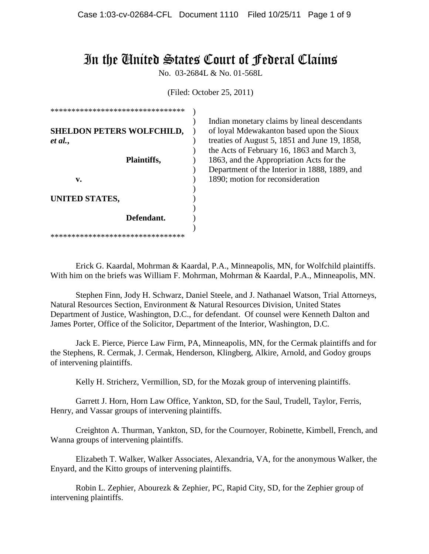# In the United States Court of Federal Claims

No. 03-2684L & No. 01-568L

(Filed: October 25, 2011)

| ********************************            |  |
|---------------------------------------------|--|
| <b>SHELDON PETERS WOLFCHILD,</b><br>et al., |  |
| Plaintiffs,                                 |  |
| v.                                          |  |
| UNITED STATES,                              |  |
| Defendant.                                  |  |
| *******************************             |  |

Indian monetary claims by lineal descendants of loyal Mdewakanton based upon the Sioux treaties of August 5, 1851 and June 19, 1858, the Acts of February 16, 1863 and March 3, 1863, and the Appropriation Acts for the Department of the Interior in 1888, 1889, and 1890; motion for reconsideration

Erick G. Kaardal, Mohrman & Kaardal, P.A., Minneapolis, MN, for Wolfchild plaintiffs. With him on the briefs was William F. Mohrman, Mohrman & Kaardal, P.A., Minneapolis, MN.

Stephen Finn, Jody H. Schwarz, Daniel Steele, and J. Nathanael Watson, Trial Attorneys, Natural Resources Section, Environment & Natural Resources Division, United States Department of Justice, Washington, D.C., for defendant. Of counsel were Kenneth Dalton and James Porter, Office of the Solicitor, Department of the Interior, Washington, D.C.

Jack E. Pierce, Pierce Law Firm, PA, Minneapolis, MN, for the Cermak plaintiffs and for the Stephens, R. Cermak, J. Cermak, Henderson, Klingberg, Alkire, Arnold, and Godoy groups of intervening plaintiffs.

Kelly H. Stricherz, Vermillion, SD, for the Mozak group of intervening plaintiffs.

Garrett J. Horn, Horn Law Office, Yankton, SD, for the Saul, Trudell, Taylor, Ferris, Henry, and Vassar groups of intervening plaintiffs.

Creighton A. Thurman, Yankton, SD, for the Cournoyer, Robinette, Kimbell, French, and Wanna groups of intervening plaintiffs.

Elizabeth T. Walker, Walker Associates, Alexandria, VA, for the anonymous Walker, the Enyard, and the Kitto groups of intervening plaintiffs.

Robin L. Zephier, Abourezk & Zephier, PC, Rapid City, SD, for the Zephier group of intervening plaintiffs.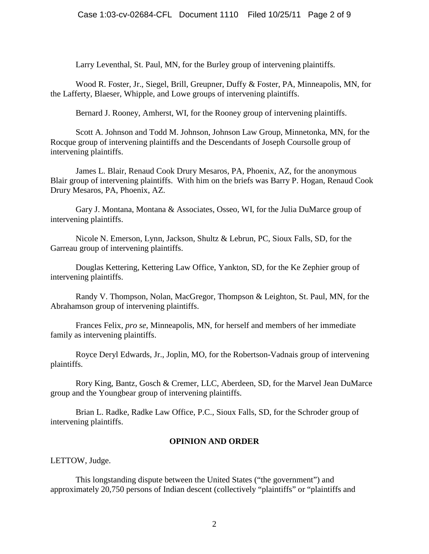Larry Leventhal, St. Paul, MN, for the Burley group of intervening plaintiffs.

Wood R. Foster, Jr., Siegel, Brill, Greupner, Duffy & Foster, PA, Minneapolis, MN, for the Lafferty, Blaeser, Whipple, and Lowe groups of intervening plaintiffs.

Bernard J. Rooney, Amherst, WI, for the Rooney group of intervening plaintiffs.

Scott A. Johnson and Todd M. Johnson, Johnson Law Group, Minnetonka, MN, for the Rocque group of intervening plaintiffs and the Descendants of Joseph Coursolle group of intervening plaintiffs.

James L. Blair, Renaud Cook Drury Mesaros, PA, Phoenix, AZ, for the anonymous Blair group of intervening plaintiffs. With him on the briefs was Barry P. Hogan, Renaud Cook Drury Mesaros, PA, Phoenix, AZ.

Gary J. Montana, Montana & Associates, Osseo, WI, for the Julia DuMarce group of intervening plaintiffs.

Nicole N. Emerson, Lynn, Jackson, Shultz & Lebrun, PC, Sioux Falls, SD, for the Garreau group of intervening plaintiffs.

Douglas Kettering, Kettering Law Office, Yankton, SD, for the Ke Zephier group of intervening plaintiffs.

Randy V. Thompson, Nolan, MacGregor, Thompson & Leighton, St. Paul, MN, for the Abrahamson group of intervening plaintiffs.

Frances Felix*, pro se*, Minneapolis, MN, for herself and members of her immediate family as intervening plaintiffs.

Royce Deryl Edwards, Jr., Joplin, MO, for the Robertson-Vadnais group of intervening plaintiffs.

Rory King, Bantz, Gosch & Cremer, LLC, Aberdeen, SD, for the Marvel Jean DuMarce group and the Youngbear group of intervening plaintiffs.

Brian L. Radke, Radke Law Office, P.C., Sioux Falls, SD, for the Schroder group of intervening plaintiffs.

## **OPINION AND ORDER**

LETTOW, Judge.

This longstanding dispute between the United States ("the government") and approximately 20,750 persons of Indian descent (collectively "plaintiffs" or "plaintiffs and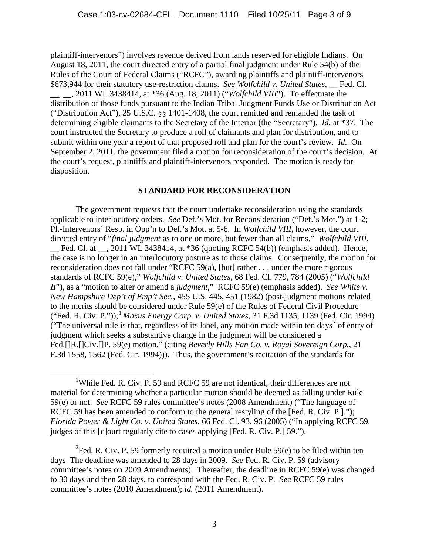plaintiff-intervenors") involves revenue derived from lands reserved for eligible Indians. On August 18, 2011, the court directed entry of a partial final judgment under Rule 54(b) of the Rules of the Court of Federal Claims ("RCFC"), awarding plaintiffs and plaintiff-intervenors \$673,944 for their statutory use-restriction claims. *See Wolfchild v. United States*, \_\_ Fed. Cl. \_\_, \_\_, 2011 WL 3438414, at \*36 (Aug. 18, 2011) ("*Wolfchild VIII*"). To effectuate the distribution of those funds pursuant to the Indian Tribal Judgment Funds Use or Distribution Act ("Distribution Act"), 25 U.S.C. §§ 1401-1408, the court remitted and remanded the task of determining eligible claimants to the Secretary of the Interior (the "Secretary"). *Id.* at \*37. The court instructed the Secretary to produce a roll of claimants and plan for distribution, and to submit within one year a report of that proposed roll and plan for the court's review. *Id*. On September 2, 2011, the government filed a motion for reconsideration of the court's decision. At the court's request, plaintiffs and plaintiff-intervenors responded. The motion is ready for disposition.

# **STANDARD FOR RECONSIDERATION**

The government requests that the court undertake reconsideration using the standards applicable to interlocutory orders. *See* Def.'s Mot. for Reconsideration ("Def.'s Mot.") at 1-2; Pl.-Intervenors' Resp. in Opp'n to Def.'s Mot. at 5-6. In *Wolfchild VIII*, however, the court directed entry of "*final judgment* as to one or more, but fewer than all claims." *Wolfchild VIII*,  $\equiv$  Fed. Cl. at  $\equiv$ , 2011 WL 3438414, at \*36 (quoting RCFC 54(b)) (emphasis added). Hence, the case is no longer in an interlocutory posture as to those claims. Consequently, the motion for reconsideration does not fall under "RCFC 59(a), [but] rather . . . under the more rigorous standards of RCFC 59(e)," *Wolfchild v. United States*, 68 Fed. Cl. 779, 784 (2005) ("*Wolfchild II*"), as a "motion to alter or amend a *judgment*," RCFC 59(e) (emphasis added). *See White v. New Hampshire Dep't of Emp't Sec.*, 455 U.S. 445, 451 (1982) (post-judgment motions related to the merits should be considered under Rule 59(e) of the Rules of Federal Civil Procedure ("Fed. R. Civ. P."));[1](#page-2-0) *Maxus Energy Corp. v. United States*, 31 F.3d 1135, 1139 (Fed. Cir. 1994) ("The universal rule is that, regardless of its label, any motion made within ten days<sup>[2](#page-2-1)</sup> of entry of judgment which seeks a substantive change in the judgment will be considered a Fed.[]R.[]Civ.[]P. 59(e) motion." (citing *Beverly Hills Fan Co. v. Royal Sovereign Corp.*, 21 F.3d 1558, 1562 (Fed. Cir. 1994))). Thus, the government's recitation of the standards for

<span id="page-2-0"></span><sup>&</sup>lt;u>1</u> <sup>1</sup>While Fed. R. Civ. P. 59 and RCFC 59 are not identical, their differences are not material for determining whether a particular motion should be deemed as falling under Rule 59(e) or not. *See* RCFC 59 rules committee's notes (2008 Amendment) ("The language of RCFC 59 has been amended to conform to the general restyling of the [Fed. R. Civ. P.]."); *Florida Power & Light Co. v. United States*, 66 Fed. Cl. 93, 96 (2005) ("In applying RCFC 59, judges of this [c]ourt regularly cite to cases applying [Fed. R. Civ. P.] 59.").

<span id="page-2-1"></span><sup>&</sup>lt;sup>2</sup>Fed. R. Civ. P. 59 formerly required a motion under Rule 59 $(e)$  to be filed within ten days The deadline was amended to 28 days in 2009. *See* Fed. R. Civ. P. 59 (advisory committee's notes on 2009 Amendments). Thereafter, the deadline in RCFC 59(e) was changed to 30 days and then 28 days, to correspond with the Fed. R. Civ. P. *See* RCFC 59 rules committee's notes (2010 Amendment); *id.* (2011 Amendment).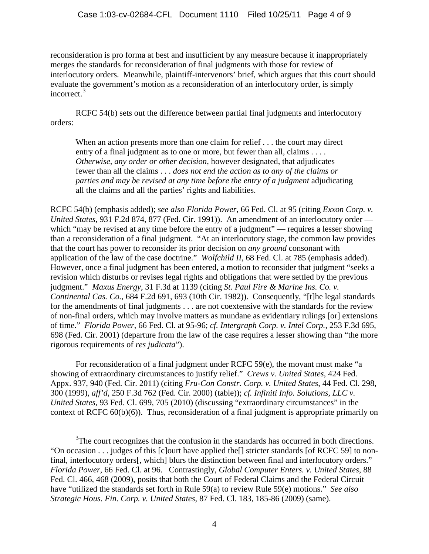reconsideration is pro forma at best and insufficient by any measure because it inappropriately merges the standards for reconsideration of final judgments with those for review of interlocutory orders. Meanwhile, plaintiff-intervenors' brief, which argues that this court should evaluate the government's motion as a reconsideration of an interlocutory order, is simply incorrect.<sup>[3](#page-3-0)</sup>

RCFC 54(b) sets out the difference between partial final judgments and interlocutory orders:

When an action presents more than one claim for relief . . . the court may direct entry of a final judgment as to one or more, but fewer than all, claims . . . . *Otherwise, any order or other decision*, however designated, that adjudicates fewer than all the claims . . . *does not end the action as to any of the claims or parties and may be revised at any time before the entry of a judgment* adjudicating all the claims and all the parties' rights and liabilities.

RCFC 54(b) (emphasis added); *see also Florida Power*, 66 Fed. Cl. at 95 (citing *Exxon Corp. v. United States*, 931 F.2d 874, 877 (Fed. Cir. 1991)). An amendment of an interlocutory order which "may be revised at any time before the entry of a judgment" — requires a lesser showing than a reconsideration of a final judgment. "At an interlocutory stage, the common law provides that the court has power to reconsider its prior decision on *any ground* consonant with application of the law of the case doctrine." *Wolfchild II*, 68 Fed. Cl. at 785 (emphasis added). However, once a final judgment has been entered, a motion to reconsider that judgment "seeks a revision which disturbs or revises legal rights and obligations that were settled by the previous judgment." *Maxus Energy*, 31 F.3d at 1139 (citing *St. Paul Fire & Marine Ins. Co. v. Continental Cas. Co.*, 684 F.2d 691, 693 (10th Cir. 1982)). Consequently, "[t]he legal standards for the amendments of final judgments . . . are not coextensive with the standards for the review of non-final orders, which may involve matters as mundane as evidentiary rulings [or] extensions of time." *Florida Power*, 66 Fed. Cl. at 95-96; *cf. Intergraph Corp. v. Intel Corp.*, 253 F.3d 695, 698 (Fed. Cir. 2001) (departure from the law of the case requires a lesser showing than "the more rigorous requirements of *res judicata*").

For reconsideration of a final judgment under RCFC 59(e), the movant must make "a showing of extraordinary circumstances to justify relief." *Crews v. United States*, 424 Fed. Appx. 937, 940 (Fed. Cir. 2011) (citing *Fru-Con Constr. Corp. v. United States*, 44 Fed. Cl. 298, 300 (1999), *aff'd*, 250 F.3d 762 (Fed. Cir. 2000) (table)); *cf. Infiniti Info. Solutions, LLC v. United States*, 93 Fed. Cl. 699, 705 (2010) (discussing "extraordinary circumstances" in the context of RCFC 60(b)(6)). Thus, reconsideration of a final judgment is appropriate primarily on

<span id="page-3-0"></span> $\frac{1}{3}$ <sup>3</sup>The court recognizes that the confusion in the standards has occurred in both directions. "On occasion . . . judges of this [c]ourt have applied the[] stricter standards [of RCFC 59] to nonfinal, interlocutory orders[, which] blurs the distinction between final and interlocutory orders." *Florida Power*, 66 Fed. Cl. at 96. Contrastingly, *Global Computer Enters. v. United States*, 88 Fed. Cl. 466, 468 (2009), posits that both the Court of Federal Claims and the Federal Circuit have "utilized the standards set forth in Rule 59(a) to review Rule 59(e) motions." *See also Strategic Hous. Fin. Corp. v. United States*, 87 Fed. Cl. 183, 185-86 (2009) (same).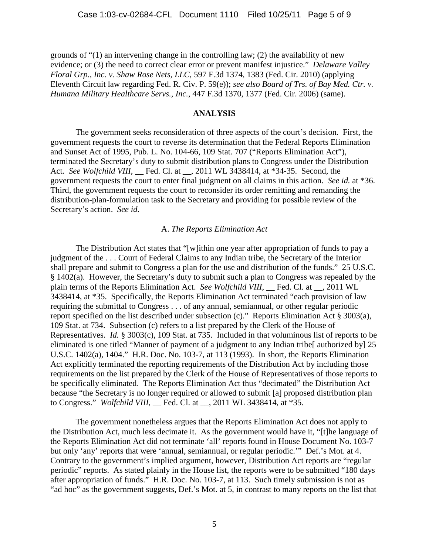grounds of "(1) an intervening change in the controlling law; (2) the availability of new evidence; or (3) the need to correct clear error or prevent manifest injustice." *Delaware Valley Floral Grp., Inc. v. Shaw Rose Nets, LLC*, 597 F.3d 1374, 1383 (Fed. Cir. 2010) (applying Eleventh Circuit law regarding Fed. R. Civ. P. 59(e)); *see also Board of Trs. of Bay Med. Ctr. v. Humana Military Healthcare Servs., Inc.*, 447 F.3d 1370, 1377 (Fed. Cir. 2006) (same).

#### **ANALYSIS**

The government seeks reconsideration of three aspects of the court's decision. First, the government requests the court to reverse its determination that the Federal Reports Elimination and Sunset Act of 1995, Pub. L. No. 104-66, 109 Stat. 707 ("Reports Elimination Act"), terminated the Secretary's duty to submit distribution plans to Congress under the Distribution Act. *See Wolfchild VIII*, Fed. Cl. at , 2011 WL 3438414, at \*34-35. Second, the government requests the court to enter final judgment on all claims in this action. *See id.* at \*36. Third, the government requests the court to reconsider its order remitting and remanding the distribution-plan-formulation task to the Secretary and providing for possible review of the Secretary's action. *See id.*

#### A. *The Reports Elimination Act*

The Distribution Act states that "[w]ithin one year after appropriation of funds to pay a judgment of the . . . Court of Federal Claims to any Indian tribe, the Secretary of the Interior shall prepare and submit to Congress a plan for the use and distribution of the funds." 25 U.S.C. § 1402(a). However, the Secretary's duty to submit such a plan to Congress was repealed by the plain terms of the Reports Elimination Act. *See Wolfchild VIII*, Fed. Cl. at  $\,$ , 2011 WL 3438414, at \*35. Specifically, the Reports Elimination Act terminated "each provision of law requiring the submittal to Congress . . . of any annual, semiannual, or other regular periodic report specified on the list described under subsection (c)." Reports Elimination Act § 3003(a), 109 Stat. at 734. Subsection (c) refers to a list prepared by the Clerk of the House of Representatives. *Id.* § 3003(c), 109 Stat. at 735. Included in that voluminous list of reports to be eliminated is one titled "Manner of payment of a judgment to any Indian tribe authorized by 25 U.S.C. 1402(a), 1404." H.R. Doc. No. 103-7, at 113 (1993). In short, the Reports Elimination Act explicitly terminated the reporting requirements of the Distribution Act by including those requirements on the list prepared by the Clerk of the House of Representatives of those reports to be specifically eliminated. The Reports Elimination Act thus "decimated" the Distribution Act because "the Secretary is no longer required or allowed to submit [a] proposed distribution plan to Congress." *Wolfchild VIII*, \_\_ Fed. Cl. at \_\_, 2011 WL 3438414, at \*35.

The government nonetheless argues that the Reports Elimination Act does not apply to the Distribution Act, much less decimate it. As the government would have it, "[t]he language of the Reports Elimination Act did not terminate 'all' reports found in House Document No. 103-7 but only 'any' reports that were 'annual, semiannual, or regular periodic.'" Def.'s Mot. at 4. Contrary to the government's implied argument, however, Distribution Act reports are "regular periodic" reports. As stated plainly in the House list, the reports were to be submitted "180 days after appropriation of funds." H.R. Doc. No. 103-7, at 113. Such timely submission is not as "ad hoc" as the government suggests, Def.'s Mot. at 5, in contrast to many reports on the list that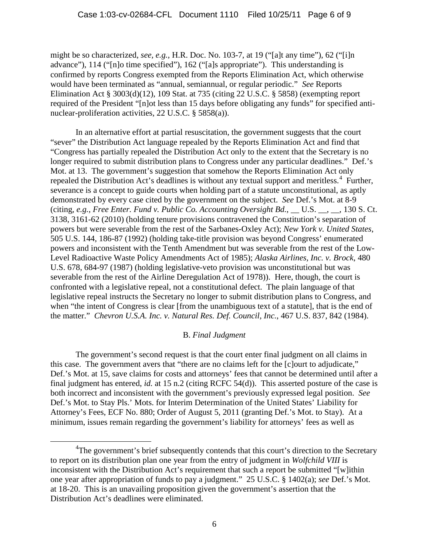might be so characterized, *see, e.g.*, H.R. Doc. No. 103-7, at 19 ("[a]t any time"), 62 ("[i]n advance"), 114 ("[n]o time specified"), 162 ("[a]s appropriate"). This understanding is confirmed by reports Congress exempted from the Reports Elimination Act, which otherwise would have been terminated as "annual, semiannual, or regular periodic." *See* Reports Elimination Act § 3003(d)(12), 109 Stat. at 735 (citing 22 U.S.C. § 5858) (exempting report required of the President "[n]ot less than 15 days before obligating any funds" for specified antinuclear-proliferation activities, 22 U.S.C. § 5858(a)).

In an alternative effort at partial resuscitation, the government suggests that the court "sever" the Distribution Act language repealed by the Reports Elimination Act and find that "Congress has partially repealed the Distribution Act only to the extent that the Secretary is no longer required to submit distribution plans to Congress under any particular deadlines." Def.'s Mot. at 13. The government's suggestion that somehow the Reports Elimination Act only repealed the Distribution Act's deadlines is without any textual support and meritless.<sup>[4](#page-5-0)</sup> Further, severance is a concept to guide courts when holding part of a statute unconstitutional, as aptly demonstrated by every case cited by the government on the subject. *See* Def.'s Mot. at 8-9 (citing, *e.g., Free Enter. Fund v. Public Co. Accounting Oversight Bd.,* U.S., , 130 S. Ct. 3138, 3161-62 (2010) (holding tenure provisions contravened the Constitution's separation of powers but were severable from the rest of the Sarbanes-Oxley Act); *New York v. United States*, 505 U.S. 144, 186-87 (1992) (holding take-title provision was beyond Congress' enumerated powers and inconsistent with the Tenth Amendment but was severable from the rest of the Low-Level Radioactive Waste Policy Amendments Act of 1985); *Alaska Airlines, Inc. v. Brock*, 480 U.S. 678, 684-97 (1987) (holding legislative-veto provision was unconstitutional but was severable from the rest of the Airline Deregulation Act of 1978)). Here, though, the court is confronted with a legislative repeal, not a constitutional defect. The plain language of that legislative repeal instructs the Secretary no longer to submit distribution plans to Congress, and when "the intent of Congress is clear [from the unambiguous text of a statute], that is the end of the matter." *Chevron U.S.A. Inc. v. Natural Res. Def. Council, Inc.*, 467 U.S. 837, 842 (1984).

## B. *Final Judgment*

The government's second request is that the court enter final judgment on all claims in this case. The government avers that "there are no claims left for the [c]ourt to adjudicate," Def.'s Mot. at 15, save claims for costs and attorneys' fees that cannot be determined until after a final judgment has entered, *id.* at 15 n.2 (citing RCFC 54(d)). This asserted posture of the case is both incorrect and inconsistent with the government's previously expressed legal position. *See*  Def.'s Mot. to Stay Pls.' Mots. for Interim Determination of the United States' Liability for Attorney's Fees, ECF No. 880; Order of August 5, 2011 (granting Def.'s Mot. to Stay). At a minimum, issues remain regarding the government's liability for attorneys' fees as well as

<span id="page-5-0"></span> $\frac{1}{4}$ <sup>4</sup>The government's brief subsequently contends that this court's direction to the Secretary to report on its distribution plan one year from the entry of judgment in *Wolfchild VIII* is inconsistent with the Distribution Act's requirement that such a report be submitted "[w]ithin one year after appropriation of funds to pay a judgment." 25 U.S.C. § 1402(a); *see* Def.'s Mot. at 18-20. This is an unavailing proposition given the government's assertion that the Distribution Act's deadlines were eliminated.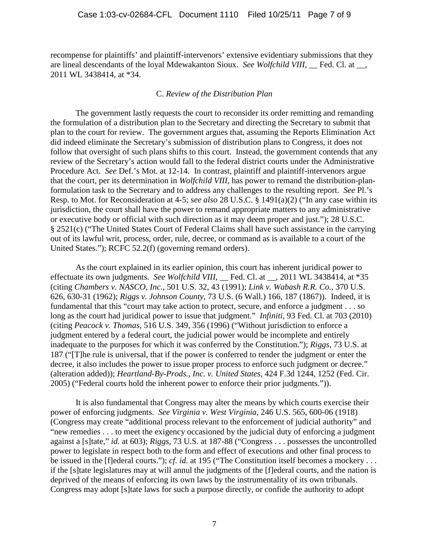recompense for plaintiffs' and plaintiff-intervenors' extensive evidentiary submissions that they are lineal descendants of the loyal Mdewakanton Sioux. *See Wolfchild VIII*, Fed. Cl. at <sub>\_\_</sub>, 2011 WL 3438414, at \*34.

### C. *Review of the Distribution Plan*

The government lastly requests the court to reconsider its order remitting and remanding the formulation of a distribution plan to the Secretary and directing the Secretary to submit that plan to the court for review. The government argues that, assuming the Reports Elimination Act did indeed eliminate the Secretary's submission of distribution plans to Congress, it does not follow that oversight of such plans shifts to this court. Instead, the government contends that any review of the Secretary's action would fall to the federal district courts under the Administrative Procedure Act. *See* Def.'s Mot. at 12-14. In contrast, plaintiff and plaintiff-intervenors argue that the court, per its determination in *Wolfchild VIII*, has power to remand the distribution-planformulation task to the Secretary and to address any challenges to the resulting report. *See* Pl.'s Resp. to Mot. for Reconsideration at 4-5; *see also* 28 U.S.C. § 1491(a)(2) ("In any case within its jurisdiction, the court shall have the power to remand appropriate matters to any administrative or executive body or official with such direction as it may deem proper and just."); 28 U.S.C. § 2521(c) ("The United States Court of Federal Claims shall have such assistance in the carrying out of its lawful writ, process, order, rule, decree, or command as is available to a court of the United States."); RCFC 52.2(f) (governing remand orders).

As the court explained in its earlier opinion, this court has inherent juridical power to effectuate its own judgments. *See Wolfchild VIII*, Fed. Cl. at <sub>\_\_</sub>, 2011 WL 3438414, at \*35 (citing *Chambers v. NASCO, Inc.*, 501 U.S. 32, 43 (1991); *Link v. Wabash R.R. Co.*, 370 U.S. 626, 630-31 (1962); *Riggs v. Johnson County*, 73 U.S. (6 Wall.) 166, 187 (1867)). Indeed, it is fundamental that this "court may take action to protect, secure, and enforce a judgment . . . so long as the court had juridical power to issue that judgment." *Infiniti*, 93 Fed. Cl. at 703 (2010) (citing *Peacock v. Thomas*, 516 U.S. 349, 356 (1996) ("Without jurisdiction to enforce a judgment entered by a federal court, the judicial power would be incomplete and entirely inadequate to the purposes for which it was conferred by the Constitution."); *Riggs*, 73 U.S. at 187 ("[T]he rule is universal, that if the power is conferred to render the judgment or enter the decree, it also includes the power to issue proper process to enforce such judgment or decree." (alteration added)); *Heartland-By-Prods., Inc. v. United States*, 424 F.3d 1244, 1252 (Fed. Cir. 2005) ("Federal courts hold the inherent power to enforce their prior judgments.")).

It is also fundamental that Congress may alter the means by which courts exercise their power of enforcing judgments. *See Virginia v. West Virginia*, 246 U.S. 565, 600-06 (1918) (Congress may create "additional process relevant to the enforcement of judicial authority" and "new remedies . . . to meet the exigency occasioned by the judicial duty of enforcing a judgment against a [s]tate," *id.* at 603); *Riggs*, 73 U.S. at 187-88 ("Congress . . . possesses the uncontrolled power to legislate in respect both to the form and effect of executions and other final process to be issued in the [f]ederal courts."); *cf. id.* at 195 ("The Constitution itself becomes a mockery . . . if the [s]tate legislatures may at will annul the judgments of the [f]ederal courts, and the nation is deprived of the means of enforcing its own laws by the instrumentality of its own tribunals. Congress may adopt [s]tate laws for such a purpose directly, or confide the authority to adopt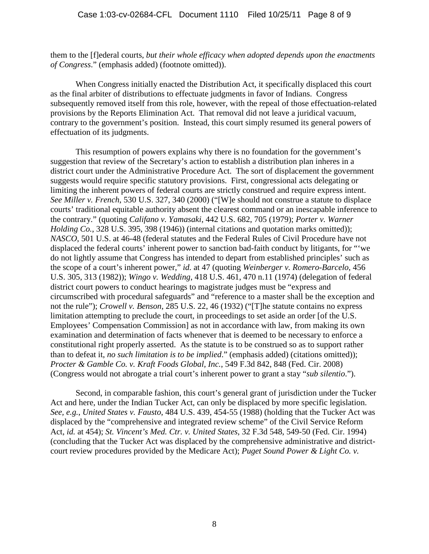them to the [f]ederal courts, *but their whole efficacy when adopted depends upon the enactments of Congress*." (emphasis added) (footnote omitted)).

When Congress initially enacted the Distribution Act, it specifically displaced this court as the final arbiter of distributions to effectuate judgments in favor of Indians. Congress subsequently removed itself from this role, however, with the repeal of those effectuation-related provisions by the Reports Elimination Act. That removal did not leave a juridical vacuum, contrary to the government's position. Instead, this court simply resumed its general powers of effectuation of its judgments.

This resumption of powers explains why there is no foundation for the government's suggestion that review of the Secretary's action to establish a distribution plan inheres in a district court under the Administrative Procedure Act. The sort of displacement the government suggests would require specific statutory provisions. First, congressional acts delegating or limiting the inherent powers of federal courts are strictly construed and require express intent. *See Miller v. French*, 530 U.S. 327, 340 (2000) ("[W]e should not construe a statute to displace courts' traditional equitable authority absent the clearest command or an inescapable inference to the contrary." (quoting *Califano v. Yamasaki*, 442 U.S. 682, 705 (1979); *Porter v. Warner Holding Co.*, 328 U.S. 395, 398 (1946)) (internal citations and quotation marks omitted)); *NASCO*, 501 U.S. at 46-48 (federal statutes and the Federal Rules of Civil Procedure have not displaced the federal courts' inherent power to sanction bad-faith conduct by litigants, for "'we do not lightly assume that Congress has intended to depart from established principles' such as the scope of a court's inherent power," *id.* at 47 (quoting *Weinberger v. Romero-Barcelo*, 456 U.S. 305, 313 (1982)); *Wingo v. Wedding*, 418 U.S. 461, 470 n.11 (1974) (delegation of federal district court powers to conduct hearings to magistrate judges must be "express and circumscribed with procedural safeguards" and "reference to a master shall be the exception and not the rule"); *Crowell v. Benson*, 285 U.S. 22, 46 (1932) ("[T]he statute contains no express limitation attempting to preclude the court, in proceedings to set aside an order [of the U.S. Employees' Compensation Commission] as not in accordance with law, from making its own examination and determination of facts whenever that is deemed to be necessary to enforce a constitutional right properly asserted. As the statute is to be construed so as to support rather than to defeat it, *no such limitation is to be implied*." (emphasis added) (citations omitted)); *Procter & Gamble Co. v. Kraft Foods Global, Inc.*, 549 F.3d 842, 848 (Fed. Cir. 2008) (Congress would not abrogate a trial court's inherent power to grant a stay "*sub silentio*.").

Second, in comparable fashion, this court's general grant of jurisdiction under the Tucker Act and here, under the Indian Tucker Act, can only be displaced by more specific legislation. *See, e.g.*, *United States v. Fausto*, 484 U.S. 439, 454-55 (1988) (holding that the Tucker Act was displaced by the "comprehensive and integrated review scheme" of the Civil Service Reform Act, *id.* at 454); *St. Vincent's Med. Ctr. v. United States*, 32 F.3d 548, 549-50 (Fed. Cir. 1994) (concluding that the Tucker Act was displaced by the comprehensive administrative and districtcourt review procedures provided by the Medicare Act); *Puget Sound Power & Light Co. v.*